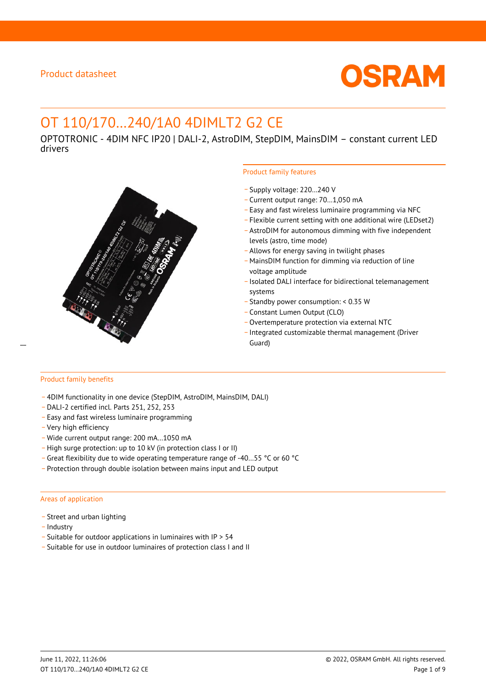

# OT 110/170…240/1A0 4DIMLT2 G2 CE

OPTOTRONIC - 4DIM NFC IP20 | DALI-2, AstroDIM, StepDIM, MainsDIM – constant current LED drivers



### Product family features

- \_ Supply voltage: 220…240 V
- \_ Current output range: 70…1,050 mA
- \_ Easy and fast wireless luminaire programming via NFC
- \_ Flexible current setting with one additional wire (LEDset2)
- \_ AstroDIM for autonomous dimming with five independent levels (astro, time mode)
- \_ Allows for energy saving in twilight phases
- \_ MainsDIM function for dimming via reduction of line voltage amplitude
- \_ Isolated DALI interface for bidirectional telemanagement systems
- \_ Standby power consumption: < 0.35 W
- \_ Constant Lumen Output (CLO)
- \_ Overtemperature protection via external NTC
- \_ Integrated customizable thermal management (Driver

#### Product family benefits

- \_ 4DIM functionality in one device (StepDIM, AstroDIM, MainsDIM, DALI)
- \_ DALI-2 certified incl. Parts 251, 252, 253
- \_ Easy and fast wireless luminaire programming
- \_ Very high efficiency
- \_ Wide current output range: 200 mA…1050 mA
- \_ High surge protection: up to 10 kV (in protection class I or II)
- \_ Great flexibility due to wide operating temperature range of -40…55 °C or 60 °C
- \_ Protection through double isolation between mains input and LED output

#### Areas of application

- Street and urban lighting
- Industry
- \_ Suitable for outdoor applications in luminaires with IP > 54
- \_ Suitable for use in outdoor luminaires of protection class I and II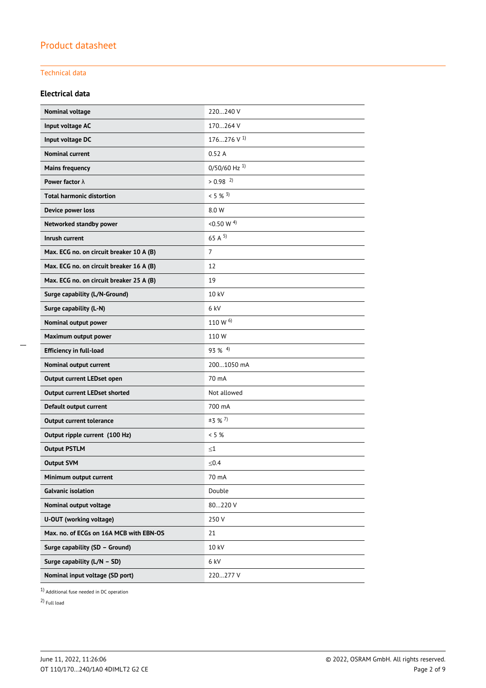### Technical data

### **Electrical data**

| Nominal voltage                          | 220240 V                   |
|------------------------------------------|----------------------------|
| Input voltage AC                         | 170264 V                   |
| Input voltage DC                         | 176276 V $^{1}$            |
| <b>Nominal current</b>                   | 0.52A                      |
| <b>Mains frequency</b>                   | $0/50/60$ Hz <sup>1)</sup> |
| Power factor $\lambda$                   | $> 0.98$ <sup>2)</sup>     |
| <b>Total harmonic distortion</b>         | $< 5 \%$ <sup>3)</sup>     |
| Device power loss                        | 8.0 W                      |
| Networked standby power                  | <0.50 W $^{4)}$            |
| Inrush current                           | 65 A $^{5}$                |
| Max. ECG no. on circuit breaker 10 A (B) | $\overline{7}$             |
| Max. ECG no. on circuit breaker 16 A (B) | 12                         |
| Max. ECG no. on circuit breaker 25 A (B) | 19                         |
| Surge capability (L/N-Ground)            | 10 kV                      |
| Surge capability (L-N)                   | 6 kV                       |
| Nominal output power                     | 110 W $^{6)}$              |
| Maximum output power                     | 110W                       |
| <b>Efficiency in full-load</b>           | $93\%$ <sup>4)</sup>       |
| Nominal output current                   | 2001050 mA                 |
| Output current LEDset open               | 70 mA                      |
| <b>Output current LEDset shorted</b>     | Not allowed                |
| Default output current                   | 700 mA                     |
| <b>Output current tolerance</b>          | $±3$ % <sup>7</sup> )      |
| Output ripple current (100 Hz)           | $< 5 \%$                   |
| <b>Output PSTLM</b>                      | $\leq1$                    |
| <b>Output SVM</b>                        | ≤ $0.4$                    |
| Minimum output current                   | 70 mA                      |
| <b>Galvanic isolation</b>                | Double                     |
| Nominal output voltage                   | 80220 V                    |
| U-OUT (working voltage)                  | 250 V                      |
| Max. no. of ECGs on 16A MCB with EBN-OS  | 21                         |
| Surge capability (SD - Ground)           | 10 kV                      |
| Surge capability (L/N - SD)              | 6 kV                       |
| Nominal input voltage (SD port)          | 220277 V                   |

1) Additional fuse needed in DC operation

2) Full load

 $\overline{\phantom{a}}$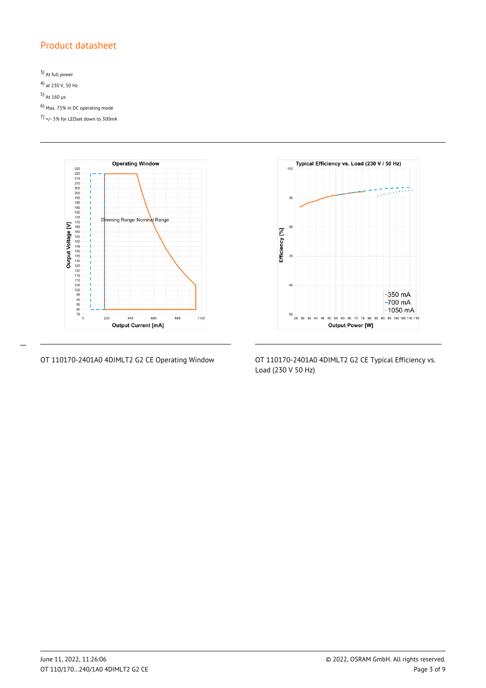3) At full power 4) at 230 V, 50 Hz 5) At 160  $\mu$ s 6) Max. 75% in DC operating mode 7) +/- 5% for LEDset down to 300mA



 $\overline{a}$ 



OT 110170-2401A0 4DIMLT2 G2 CE Operating Window OT 110170-2401A0 4DIMLT2 G2 CE Typical Efficiency vs. Load (230 V 50 Hz)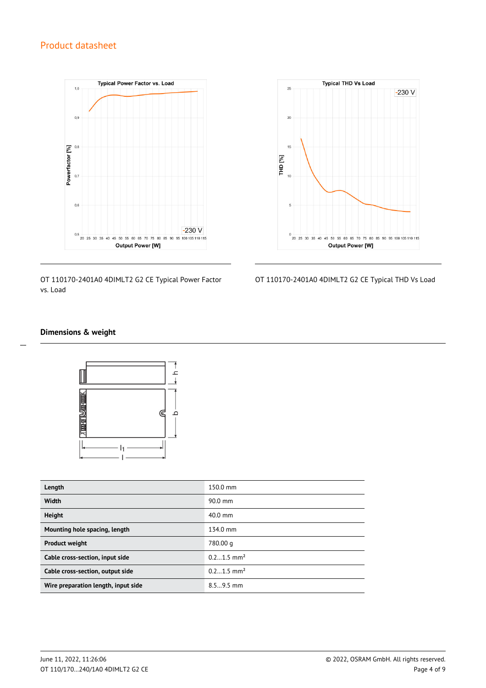

OT 110170-2401A0 4DIMLT2 G2 CE Typical Power Factor vs. Load



OT 110170-2401A0 4DIMLT2 G2 CE Typical THD Vs Load

### **Dimensions & weight**

 $\overline{a}$ 



| Length                              | 150.0 mm                 |
|-------------------------------------|--------------------------|
| Width                               | $90.0$ mm                |
| <b>Height</b>                       | $40.0$ mm                |
| Mounting hole spacing, length       | 134.0 mm                 |
| <b>Product weight</b>               | 780.00 g                 |
| Cable cross-section, input side     | $0.21.5$ mm <sup>2</sup> |
| Cable cross-section, output side    | $0.21.5$ mm <sup>2</sup> |
| Wire preparation length, input side | $8.59.5$ mm              |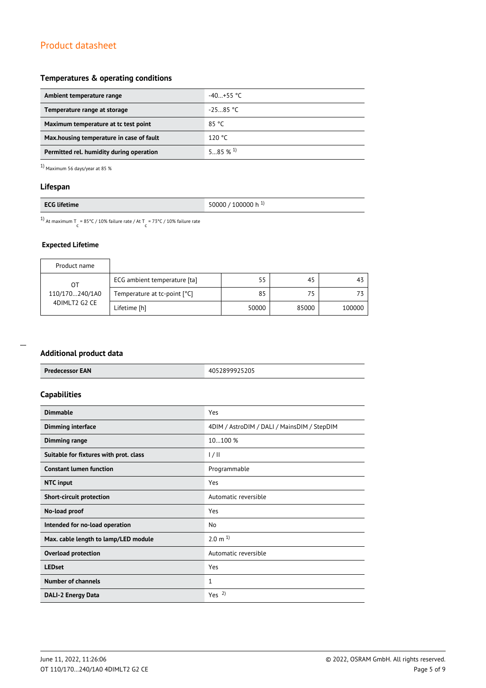### **Temperatures & operating conditions**

| Ambient temperature range                 | $-40+55$ °C |
|-------------------------------------------|-------------|
| Temperature range at storage              | $-25.85 °C$ |
| Maximum temperature at to test point      | 85 °C       |
| Max, housing temperature in case of fault | 120 °C      |
| Permitted rel. humidity during operation  | 585%1       |

 $1)$  Maximum 56 days/year at 85  $\%$ 

### **Lifespan**

|--|

<sup>1)</sup> At maximum T = 85°C / 10% failure rate / At T = 73°C / 10% failure rate

### **Expected Lifetime**

| Product name                  |                              |       |       |        |
|-------------------------------|------------------------------|-------|-------|--------|
| OТ                            | ECG ambient temperature [ta] | 55    | 45    | 43     |
| 110/170240/1A0                | Temperature at tc-point [°C] | 85    | 75    |        |
| 4DIMLT2 G2 CE<br>Lifetime [h] |                              | 50000 | 85000 | 100000 |

#### **Additional product data**

| Additional product data                |                                             |
|----------------------------------------|---------------------------------------------|
| <b>Predecessor EAN</b>                 | 4052899925205                               |
| <b>Capabilities</b>                    |                                             |
| <b>Dimmable</b>                        | Yes                                         |
| Dimming interface                      | 4DIM / AstroDIM / DALI / MainsDIM / StepDIM |
| <b>Dimming range</b>                   | 10100 %                                     |
| Suitable for fixtures with prot. class | 1/11                                        |
| <b>Constant lumen function</b>         | Programmable                                |
| <b>NTC</b> input                       | Yes                                         |
| <b>Short-circuit protection</b>        | Automatic reversible                        |
| No-load proof                          | Yes                                         |
| Intended for no-load operation         | No                                          |
| Max. cable length to lamp/LED module   | $2.0 \text{ m}^{1}$                         |
| <b>Overload protection</b>             | Automatic reversible                        |
| <b>LEDset</b>                          | Yes                                         |
| <b>Number of channels</b>              | $\mathbf{1}$                                |
| <b>DALI-2 Energy Data</b>              | Yes <sup>2</sup>                            |
|                                        |                                             |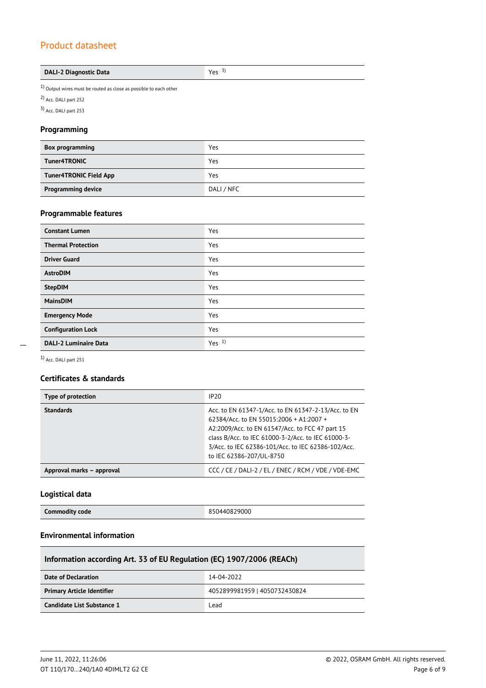### **DALI-2 Diagnostic Data Yes** 3)

 $1)$  Output wires must be routed as close as possible to each other

2) Acc. DALI part 252

3) Acc. DALI part 253

### **Programming**

| <b>Box programming</b>        | Yes        |
|-------------------------------|------------|
| Tuner4TRONIC                  | Yes        |
| <b>Tuner4TRONIC Field App</b> | Yes        |
| <b>Programming device</b>     | DALI / NFC |

### **Programmable features**

| <b>Constant Lumen</b>        | Yes              |
|------------------------------|------------------|
| <b>Thermal Protection</b>    | Yes              |
| <b>Driver Guard</b>          | Yes              |
| <b>AstroDIM</b>              | Yes              |
| <b>StepDIM</b>               | Yes              |
| <b>MainsDIM</b>              | Yes              |
| <b>Emergency Mode</b>        | Yes              |
| <b>Configuration Lock</b>    | Yes              |
| <b>DALI-2 Luminaire Data</b> | Yes <sup>1</sup> |

 $\overline{a}$ 

1) Acc. DALI part 251

### **Certificates & standards**

| Type of protection        | IP20                                                                                                                                                                                                                                                                                      |
|---------------------------|-------------------------------------------------------------------------------------------------------------------------------------------------------------------------------------------------------------------------------------------------------------------------------------------|
| <b>Standards</b>          | Acc. to EN 61347-1/Acc. to EN 61347-2-13/Acc. to EN<br>62384/Acc. to EN 55015:2006 + A1:2007 +<br>A2:2009/Acc. to EN 61547/Acc. to FCC 47 part 15<br>class B/Acc. to IEC 61000-3-2/Acc. to IEC 61000-3-<br>3/Acc. to IEC 62386-101/Acc. to IEC 62386-102/Acc.<br>to IEC 62386-207/UL-8750 |
| Approval marks - approval | CCC / CE / DALI-2 / EL / ENEC / RCM / VDE / VDE-EMC                                                                                                                                                                                                                                       |

### **Logistical data**

|  | <b>Commodity code</b> | 850440829000 |
|--|-----------------------|--------------|
|--|-----------------------|--------------|

### **Environmental information**

| Information according Art. 33 of EU Regulation (EC) 1907/2006 (REACh) |                               |  |
|-----------------------------------------------------------------------|-------------------------------|--|
| Date of Declaration                                                   | 14-04-2022                    |  |
| <b>Primary Article Identifier</b>                                     | 4052899981959   4050732430824 |  |
| Candidate List Substance 1                                            | Lead                          |  |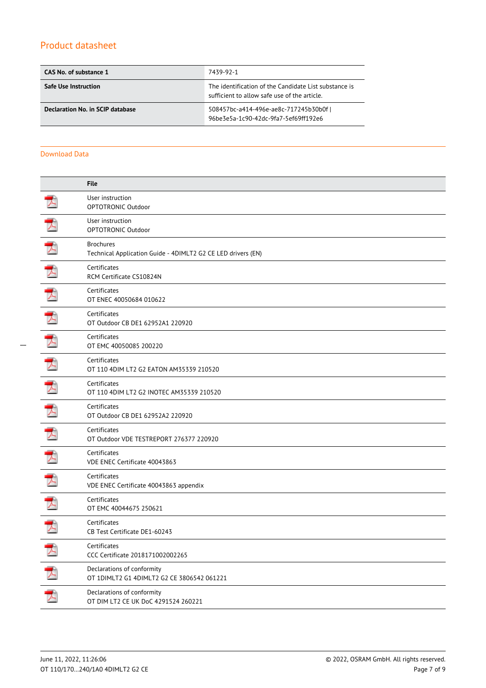| CAS No. of substance 1           | 7439-92-1                                                                                             |
|----------------------------------|-------------------------------------------------------------------------------------------------------|
| <b>Safe Use Instruction</b>      | The identification of the Candidate List substance is<br>sufficient to allow safe use of the article. |
| Declaration No. in SCIP database | 508457bc-a414-496e-ae8c-717245b30b0fl<br>96be3e5a-1c90-42dc-9fa7-5ef69ff192e6                         |

#### Download Data

|                       | <b>File</b>                                                                      |
|-----------------------|----------------------------------------------------------------------------------|
|                       | User instruction<br>OPTOTRONIC Outdoor                                           |
| 少                     | User instruction<br>OPTOTRONIC Outdoor                                           |
|                       | <b>Brochures</b><br>Technical Application Guide - 4DIMLT2 G2 CE LED drivers (EN) |
|                       | Certificates<br>RCM Certificate CS10824N                                         |
| $\blacktriangleright$ | Certificates<br>OT ENEC 40050684 010622                                          |
|                       | Certificates<br>OT Outdoor CB DE1 62952A1 220920                                 |
|                       | Certificates<br>OT EMC 40050085 200220                                           |
| ブ                     | Certificates<br>OT 110 4DIM LT2 G2 EATON AM35339 210520                          |
|                       | Certificates<br>OT 110 4DIM LT2 G2 INOTEC AM35339 210520                         |
|                       | Certificates<br>OT Outdoor CB DE1 62952A2 220920                                 |
|                       | Certificates<br>OT Outdoor VDE TESTREPORT 276377 220920                          |
|                       | Certificates<br>VDE ENEC Certificate 40043863                                    |
|                       | Certificates<br>VDE ENEC Certificate 40043863 appendix                           |
|                       | Certificates<br>OT EMC 40044675 250621                                           |
|                       | Certificates<br>CB Test Certificate DE1-60243                                    |
|                       | Certificates<br>CCC Certificate 2018171002002265                                 |
|                       | Declarations of conformity<br>OT 1DIMLT2 G1 4DIMLT2 G2 CE 3806542 061221         |
| .<br>ブ                | Declarations of conformity<br>OT DIM LT2 CE UK DoC 4291524 260221                |
|                       |                                                                                  |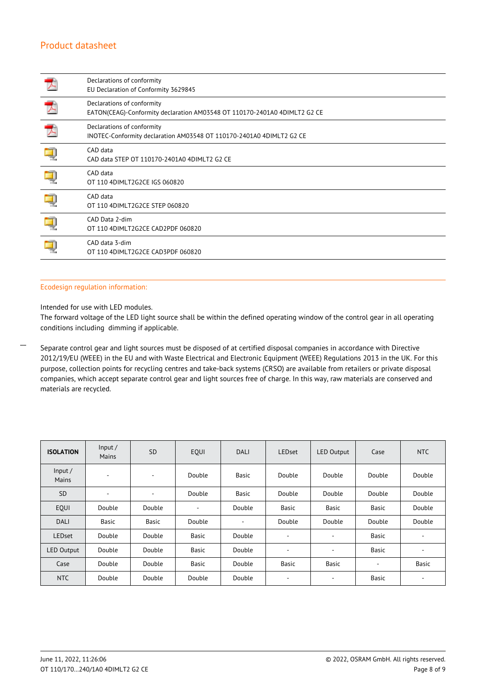| Declarations of conformity<br>EU Declaration of Conformity 3629845                                      |
|---------------------------------------------------------------------------------------------------------|
| Declarations of conformity<br>EATON(CEAG)-Conformity declaration AM03548 OT 110170-2401A0 4DIMLT2 G2 CE |
| Declarations of conformity<br>INOTEC-Conformity declaration AM03548 OT 110170-2401A0 4DIMLT2 G2 CE      |
| CAD data<br>CAD data STEP OT 110170-2401A0 4DIMLT2 G2 CE                                                |
| CAD data<br>OT 110 4DIMLT2G2CE IGS 060820                                                               |
| CAD data<br>OT 110 4DIMLT2G2CE STEP 060820                                                              |
| CAD Data 2-dim<br>OT 110 4DIMLT2G2CE CAD2PDF 060820                                                     |
| CAD data 3-dim<br>OT 110 4DIMLT2G2CE CAD3PDF 060820                                                     |

### Ecodesign regulation information:

Intended for use with LED modules.

 $\overline{a}$ 

The forward voltage of the LED light source shall be within the defined operating window of the control gear in all operating conditions including dimming if applicable.

Separate control gear and light sources must be disposed of at certified disposal companies in accordance with Directive 2012/19/EU (WEEE) in the EU and with Waste Electrical and Electronic Equipment (WEEE) Regulations 2013 in the UK. For this purpose, collection points for recycling centres and take-back systems (CRSO) are available from retailers or private disposal companies, which accept separate control gear and light sources free of charge. In this way, raw materials are conserved and materials are recycled.

| <b>ISOLATION</b>  | Input/<br>Mains          | <b>SD</b>                | EQUI   | <b>DALI</b> | <b>LEDset</b>            | <b>LED Output</b> | Case         | <b>NTC</b> |
|-------------------|--------------------------|--------------------------|--------|-------------|--------------------------|-------------------|--------------|------------|
| Input/<br>Mains   | $\overline{\phantom{a}}$ | $\overline{\phantom{a}}$ | Double | Basic       | Double                   | Double            | Double       | Double     |
| <b>SD</b>         | $\overline{\phantom{a}}$ | $\overline{\phantom{a}}$ | Double | Basic       | Double                   | Double            | Double       | Double     |
| EOUI              | Double                   | Double                   | ٠      | Double      | Basic                    | Basic             | Basic        | Double     |
| <b>DALI</b>       | Basic                    | Basic                    | Double | ٠           | Double                   | Double            | Double       | Double     |
| <b>LEDset</b>     | Double                   | Double                   | Basic  | Double      | ٠                        | ۰                 | <b>Basic</b> | ۰          |
| <b>LED Output</b> | Double                   | Double                   | Basic  | Double      | $\overline{\phantom{a}}$ | ۰                 | Basic        | $\sim$     |
| Case              | Double                   | Double                   | Basic  | Double      | Basic                    | Basic             | ۰            | Basic      |
| <b>NTC</b>        | Double                   | Double                   | Double | Double      | ٠                        | ۰                 | Basic        | $\sim$     |